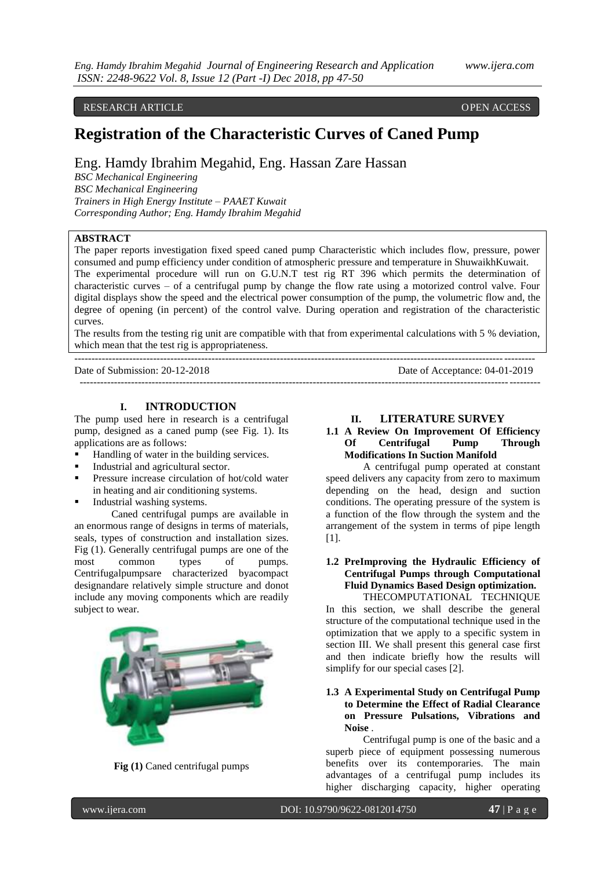RESEARCH ARTICLE OPEN ACCESS

# **Registration of the Characteristic Curves of Caned Pump**

# Eng. Hamdy Ibrahim Megahid, Eng. Hassan Zare Hassan

--------------------------------------------------------------------------------------------------------------------------------------

I

*BSC Mechanical Engineering BSC Mechanical Engineering Trainers in High Energy Institute – PAAET Kuwait Corresponding Author; Eng. Hamdy Ibrahim Megahid*

### **ABSTRACT**

The paper reports investigation fixed speed caned pump Characteristic which includes flow, pressure, power consumed and pump efficiency under condition of atmospheric pressure and temperature in ShuwaikhKuwait. The experimental procedure will run on G.U.N.T test rig RT 396 which permits the determination of characteristic curves – of a centrifugal pump by change the flow rate using a motorized control valve. Four digital displays show the speed and the electrical power consumption of the pump, the volumetric flow and, the degree of opening (in percent) of the control valve. During operation and registration of the characteristic curves.

The results from the testing rig unit are compatible with that from experimental calculations with 5 % deviation, which mean that the test rig is appropriateness.

--------------------------------------------------------------------------------------------------------------------------------------

Date of Submission: 20-12-2018 Date of Acceptance: 04-01-2019

### **I. INTRODUCTION**

The pump used here in research is a centrifugal pump, designed as a caned pump (see Fig. 1). Its applications are as follows:

- Handling of water in the building services.
- Industrial and agricultural sector.
- Pressure increase circulation of hot/cold water in heating and air conditioning systems.
- Industrial washing systems.

Caned centrifugal pumps are available in an enormous range of designs in terms of materials, seals, types of construction and installation sizes. Fig (1). Generally centrifugal pumps are one of the most common types of pumps. Centrifugalpumpsare characterized byacompact designandare relatively simple structure and donot include any moving components which are readily subject to wear.



**Fig (1)** Caned centrifugal pumps

### **II. LITERATURE SURVEY**

### **1.1 A Review On Improvement Of Efficiency Of Centrifugal Pump Through Modifications In Suction Manifold**

A centrifugal pump operated at constant speed delivers any capacity from zero to maximum depending on the head, design and suction conditions. The operating pressure of the system is a function of the flow through the system and the arrangement of the system in terms of pipe length [1].

# **1.2 PreImproving the Hydraulic Efficiency of Centrifugal Pumps through Computational Fluid Dynamics Based Design optimization.**

THECOMPUTATIONAL TECHNIQUE In this section, we shall describe the general structure of the computational technique used in the optimization that we apply to a specific system in section III. We shall present this general case first and then indicate briefly how the results will simplify for our special cases [2].

### **1.3 A Experimental Study on Centrifugal Pump to Determine the Effect of Radial Clearance on Pressure Pulsations, Vibrations and Noise** .

Centrifugal pump is one of the basic and a superb piece of equipment possessing numerous benefits over its contemporaries. The main advantages of a centrifugal pump includes its higher discharging capacity, higher operating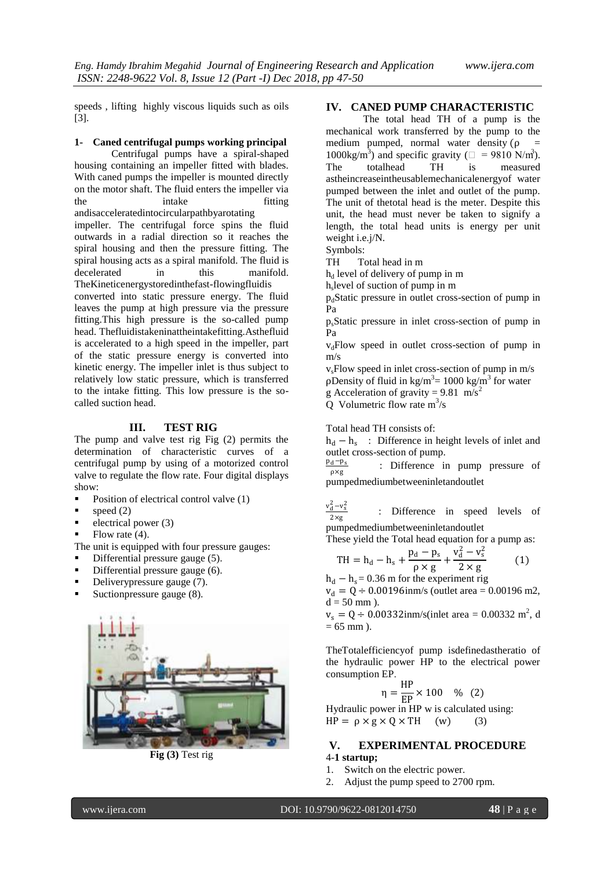speeds , lifting highly viscous liquids such as oils [3].

### **1- Caned centrifugal pumps working principal**

Centrifugal pumps have a spiral-shaped housing containing an impeller fitted with blades. With caned pumps the impeller is mounted directly on the motor shaft. The fluid enters the impeller via the intake fitting andisacceleratedintocircularpathbyarotating impeller. The centrifugal force spins the fluid outwards in a radial direction so it reaches the spiral housing and then the pressure fitting. The spiral housing acts as a spiral manifold. The fluid is decelerated in this manifold. TheKineticenergystoredinthefast-flowingfluidis converted into static pressure energy. The fluid leaves the pump at high pressure via the pressure fitting.This high pressure is the so-called pump head. Thefluidistakeninattheintakefitting.Asthefluid is accelerated to a high speed in the impeller, part of the static pressure energy is converted into kinetic energy. The impeller inlet is thus subject to relatively low static pressure, which is transferred to the intake fitting. This low pressure is the socalled suction head.

## **III. TEST RIG**

The pump and valve test rig Fig (2) permits the determination of characteristic curves of a centrifugal pump by using of a motorized control valve to regulate the flow rate. Four digital displays show:

- Position of electrical control valve (1)
- $\bullet$  speed (2)
- electrical power (3)
- Flow rate (4).

The unit is equipped with four pressure gauges:

- Differential pressure gauge (5).
- Differential pressure gauge (6).
- Deliverypressure gauge (7).
- Suctionpressure gauge (8).



**Fig (3)** Test rig

## **IV. CANED PUMP CHARACTERISTIC**

The total head TH of a pump is the mechanical work transferred by the pump to the medium pumped, normal water density  $(\rho =$ 1000kg/m<sup>3</sup>) and specific gravity ( $\square$  = 9810 N/m<sup>3</sup>). The totalhead TH is measured astheincreaseintheusablemechanicalenergyof water pumped between the inlet and outlet of the pump. The unit of thetotal head is the meter. Despite this unit, the head must never be taken to signify a length, the total head units is energy per unit weight i.e.j/N.

Symbols:

TH Total head in m

 $h_d$  level of delivery of pump in m

hs level of suction of pump in m

 $p_d$ Static pressure in outlet cross-section of pump in Pa

psStatic pressure in inlet cross-section of pump in Pa

 $v_d$ Flow speed in outlet cross-section of pump in m/s

 $v_s$ Flow speed in inlet cross-section of pump in  $m/s$ pDensity of fluid in  $\text{kg/m}^3$  = 1000 kg/m<sup>3</sup> for water g Acceleration of gravity =  $9.81 \text{ m/s}^2$ 

Q Volumetric flow rate  $m^3/s$ 

Total head TH consists of:

 $h_d - h_s$ : Difference in height levels of inlet and outlet cross-section of pump.

 $p_d - p_s$ ρ×g : Difference in pump pressure of pumpedmediumbetweeninletandoutlet

 $v_d^2 - v_s^2$  $2\times g$ : Difference in speed levels of

pumpedmediumbetweeninletandoutlet These vield the Total head equation for a pump as:

$$
TH = h_d - h_s + \frac{p_d - p_s}{\rho \times g} + \frac{v_d^2 - v_s^2}{2 \times g}
$$
 (1)

 $h_d - h_s = 0.36$  m for the experiment rig

 $v_d = Q \div 0.00196$ inm/s (outlet area = 0.00196 m2,  $d = 50$  mm).

 $v_s = Q \div 0.00332 \text{ inm/s}$ (inlet area = 0.00332 m<sup>2</sup>, d  $= 65$  mm ).

TheTotalefficiencyof pump isdefinedastheratio of the hydraulic power HP to the electrical power consumption EP.

$$
\eta = \frac{\text{HP}}{\text{EP}} \times 100 \quad \% \quad (2)
$$

Hydraulic power in HP w is calculated using:  $HP = \rho \times g \times 0 \times TH$  (w) (3)

# **V. EXPERIMENTAL PROCEDURE**

4-**1 startup;**

- 1. Switch on the electric power.
- 2. Adjust the pump speed to 2700 rpm.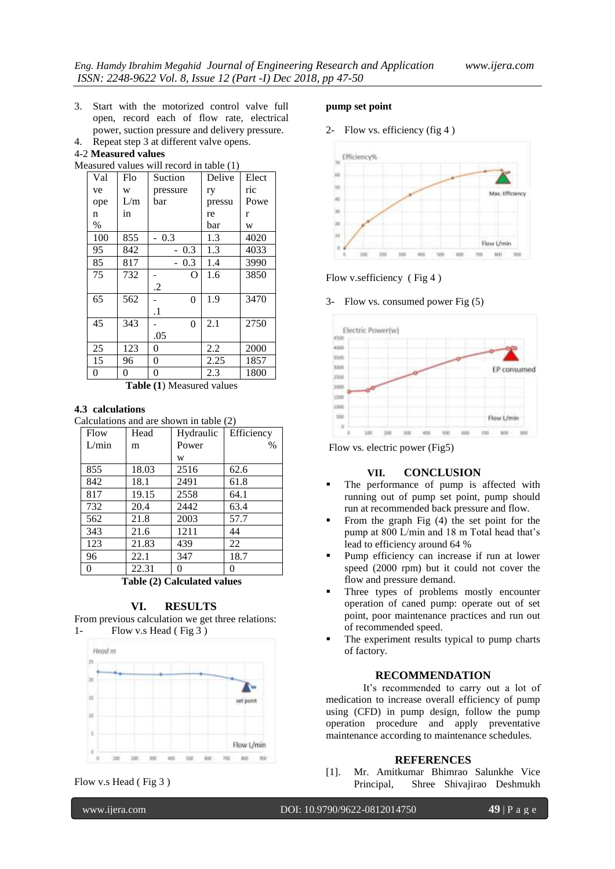3. Start with the motorized control valve full open, record each of flow rate, electrical power, suction pressure and delivery pressure.

4. Repeat step 3 at different valve opens.

#### 4-2 **Measured values**

#### Measured values will record in table (1)

| Val  | Flo | Suction        | Delive | Elect |  |
|------|-----|----------------|--------|-------|--|
| ve   | W   | pressure       | ry     | ric   |  |
| ope  | L/m | bar            | pressu | Powe  |  |
| n    | in  |                | re     | r     |  |
| $\%$ |     |                | bar    | W     |  |
| 100  | 855 | $-0.3$         | 1.3    | 4020  |  |
| 95   | 842 | $-0.3$         | 1.3    | 4033  |  |
| 85   | 817 | $-0.3$         | 1.4    | 3990  |  |
| 75   | 732 | O              | 1.6    | 3850  |  |
|      |     | .2             |        |       |  |
| 65   | 562 | $\theta$       | 1.9    | 3470  |  |
|      |     | $\cdot$        |        |       |  |
| 45   | 343 | 0              | 2.1    | 2750  |  |
|      |     | .05            |        |       |  |
| 25   | 123 | 0              | 2.2    | 2000  |  |
| 15   | 96  | $\overline{0}$ | 2.25   | 1857  |  |
| 0    | 0   | $\overline{0}$ | 2.3    | 1800  |  |

**Table (1**) Measured values

#### **4.3 calculations**

Calculations and are shown in table (2)

| Flow  | Head  | Hydraulic | Efficiency |
|-------|-------|-----------|------------|
| L/min | m     | Power     | $\%$       |
|       |       | W         |            |
| 855   | 18.03 | 2516      | 62.6       |
| 842   | 18.1  | 2491      | 61.8       |
| 817   | 19.15 | 2558      | 64.1       |
| 732   | 20.4  | 2442      | 63.4       |
| 562   | 21.8  | 2003      | 57.7       |
| 343   | 21.6  | 1211      | 44         |
| 123   | 21.83 | 439       | 22         |
| 96    | 22.1  | 347       | 18.7       |
| 0     | 22.31 | $\theta$  | 0          |

**Table (2) Calculated values**

### **VI. RESULTS**

From previous calculation we get three relations: 1- Flow v.s Head ( Fig 3 )



Flow v.s Head ( Fig 3 )

### **pump set point**

|  | 2- |  | Flow vs. efficiency (fig $4$ ) |  |  |  |
|--|----|--|--------------------------------|--|--|--|
|--|----|--|--------------------------------|--|--|--|





3- Flow vs. consumed power Fig (5)



Flow vs. electric power (Fig5)

### **VII. CONCLUSION**

- The performance of pump is affected with running out of pump set point, pump should run at recommended back pressure and flow.
- From the graph Fig (4) the set point for the pump at 800 L/min and 18 m Total head that's lead to efficiency around 64 %
- Pump efficiency can increase if run at lower speed (2000 rpm) but it could not cover the flow and pressure demand.
- Three types of problems mostly encounter operation of caned pump: operate out of set point, poor maintenance practices and run out of recommended speed.
- The experiment results typical to pump charts of factory.

### **RECOMMENDATION**

It's recommended to carry out a lot of medication to increase overall efficiency of pump using (CFD) in pump design, follow the pump operation procedure and apply preventative maintenance according to maintenance schedules.

#### **REFERENCES**

[1]. Mr. Amitkumar Bhimrao Salunkhe Vice Principal, Shree Shivajirao Deshmukh